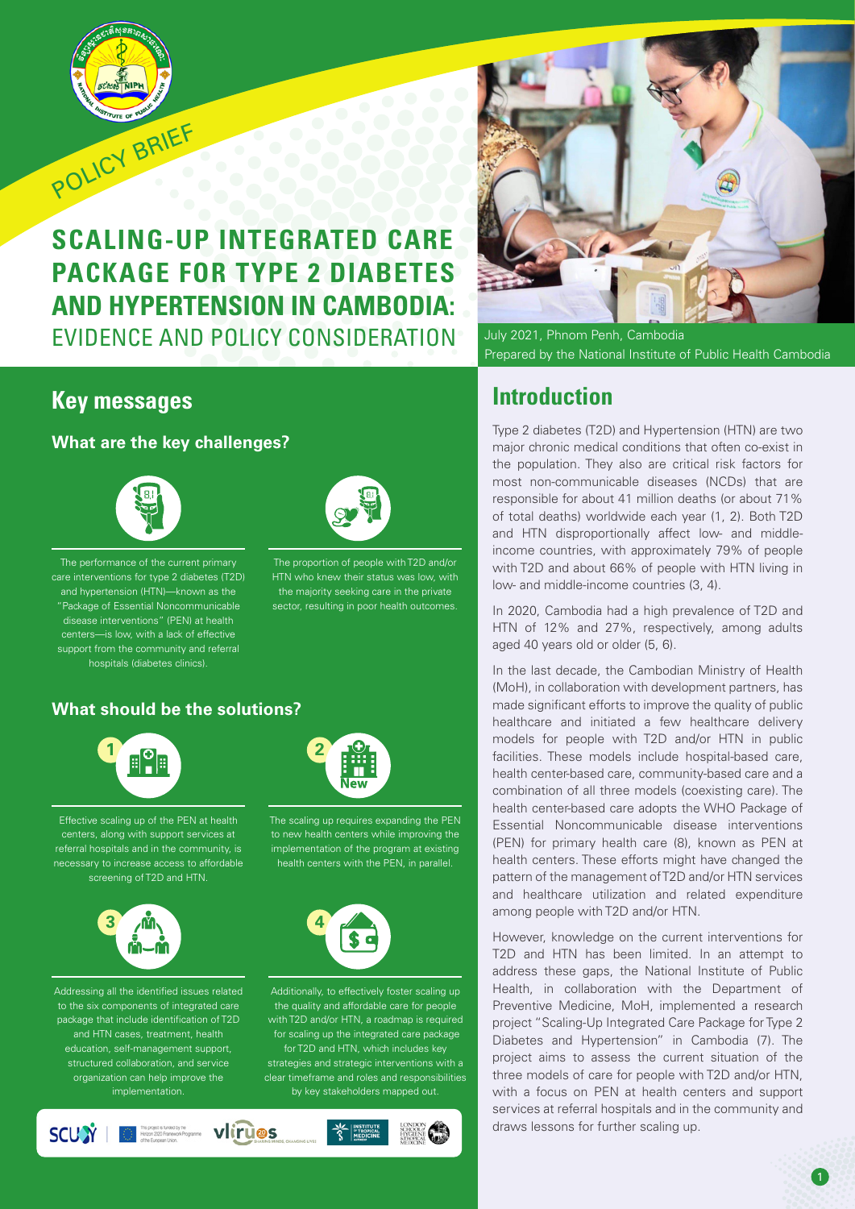

# **SCALING-UP INTEGRATED CARE PACKAGE FOR TYPE 2 DIABETES AND HYPERTENSION IN CAMBODIA:** EVIDENCE AND POLICY CONSIDERATION

### **Key messages**

**What are the key challenges?**



The performance of the current primary care interventions for type 2 diabetes (T2D) and hypertension (HTN)—known as the "Package of Essential Noncommunicable disease interventions" (PEN) at health centers—is low, with a lack of effective support from the community and referral hospitals (diabetes clinics).

The proportion of people with T2D and/or

HTN who knew their status was low, with the majority seeking care in the private sector, resulting in poor health outcomes.

### **What should be the solutions?**



Effective scaling up of the PEN at health centers, along with support services at referral hospitals and in the community, is necessary to increase access to affordable screening of T2D and HTN.



Addressing all the identified issues related to the six components of integrated care package that include identification of T2D and HTN cases, treatment, health education, self-management support, structured collaboration, and service organization can help improve the implementation.

The scaling up requires expanding the PEN to new health centers while improving the implementation of the program at existing health centers with the PEN, in parallel.



Additionally, to effectively foster scaling up the quality and affordable care for people with T2D and/or HTN, a roadmap is required for scaling up the integrated care package for T2D and HTN, which includes key strategies and strategic interventions with a clear timeframe and roles and responsibilities by key stakeholders mapped out.





July 2021, Phnom Penh, Cambodia Prepared by the National Institute of Public Health Cambodia

## **Introduction**

Type 2 diabetes (T2D) and Hypertension (HTN) are two major chronic medical conditions that often co-exist in the population. They also are critical risk factors for most non-communicable diseases (NCDs) that are responsible for about 41 million deaths (or about 71% of total deaths) worldwide each year (1, 2). Both T2D and HTN disproportionally affect low- and middleincome countries, with approximately 79% of people with T2D and about 66% of people with HTN living in low- and middle-income countries (3, 4).

In 2020, Cambodia had a high prevalence of T2D and HTN of 12% and 27%, respectively, among adults aged 40 years old or older (5, 6).

In the last decade, the Cambodian Ministry of Health (MoH), in collaboration with development partners, has made significant efforts to improve the quality of public healthcare and initiated a few healthcare delivery models for people with T2D and/or HTN in public facilities. These models include hospital-based care, health center-based care, community-based care and a combination of all three models (coexisting care). The health center-based care adopts the WHO Package of Essential Noncommunicable disease interventions (PEN) for primary health care (8), known as PEN at health centers. These efforts might have changed the pattern of the management of T2D and/or HTN services and healthcare utilization and related expenditure among people with T2D and/or HTN.

However, knowledge on the current interventions for T2D and HTN has been limited. In an attempt to address these gaps, the National Institute of Public Health, in collaboration with the Department of Preventive Medicine, MoH, implemented a research project "Scaling-Up Integrated Care Package for Type 2 Diabetes and Hypertension" in Cambodia (7). The project aims to assess the current situation of the three models of care for people with T2D and/or HTN, with a focus on PEN at health centers and support services at referral hospitals and in the community and draws lessons for further scaling up.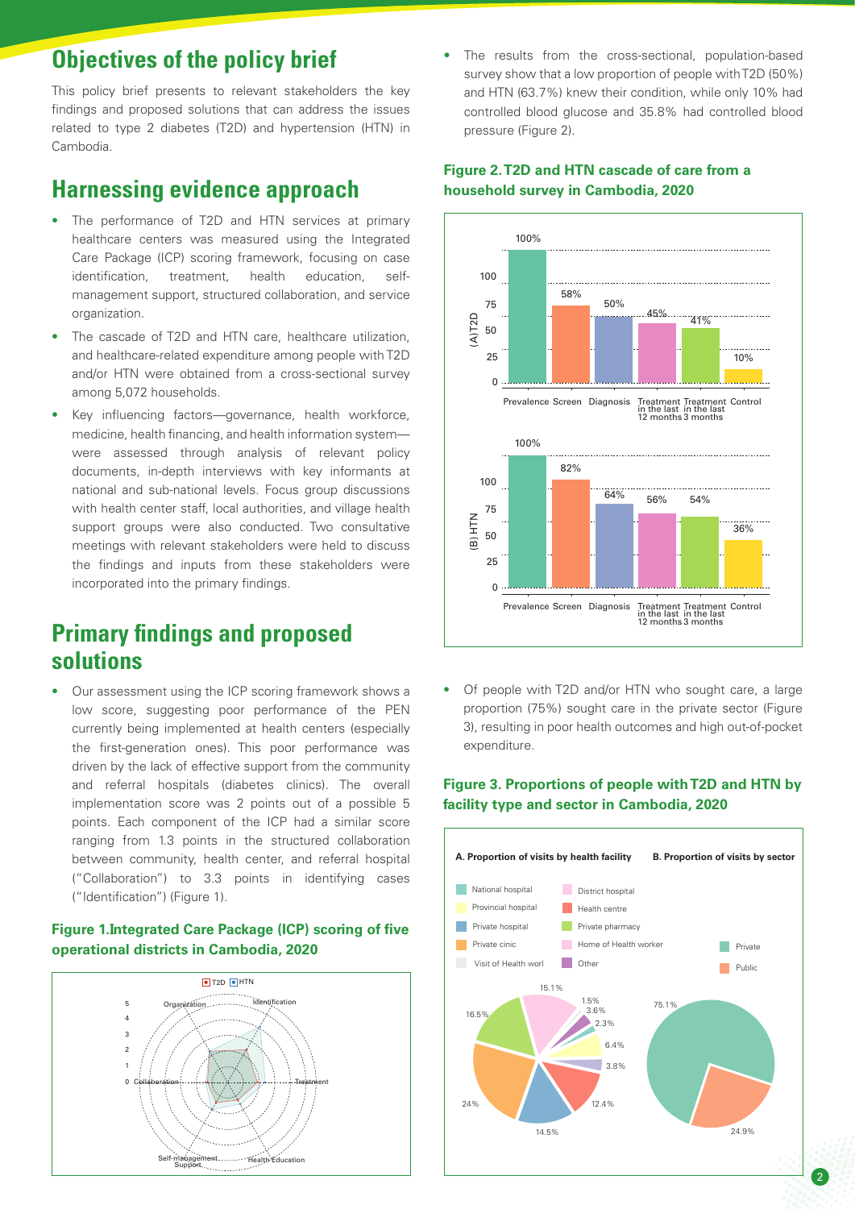## **Objectives of the policy brief**

This policy brief presents to relevant stakeholders the key findings and proposed solutions that can address the issues related to type 2 diabetes (T2D) and hypertension (HTN) in Cambodia.

### **Harnessing evidence approach**

- The performance of T2D and HTN services at primary healthcare centers was measured using the Integrated Care Package (ICP) scoring framework, focusing on case identification, treatment, health education, selfmanagement support, structured collaboration, and service organization.
- The cascade of T2D and HTN care, healthcare utilization, and healthcare-related expenditure among people with T2D and/or HTN were obtained from a cross-sectional survey among 5,072 households.
- Key influencing factors—governance, health workforce, medicine, health financing, and health information system were assessed through analysis of relevant policy documents, in-depth interviews with key informants at national and sub-national levels. Focus group discussions with health center staff, local authorities, and village health support groups were also conducted. Two consultative meetings with relevant stakeholders were held to discuss the findings and inputs from these stakeholders were incorporated into the primary findings.

## **Primary findings and proposed solutions**

• Our assessment using the ICP scoring framework shows a low score, suggesting poor performance of the PEN currently being implemented at health centers (especially the first-generation ones). This poor performance was driven by the lack of effective support from the community and referral hospitals (diabetes clinics). The overall implementation score was 2 points out of a possible 5 points. Each component of the ICP had a similar score ranging from 1.3 points in the structured collaboration between community, health center, and referral hospital ("Collaboration") to 3.3 points in identifying cases ("Identification") (Figure 1).

#### **Figure 1. Integrated Care Package (ICP) scoring of five operational districts in Cambodia, 2020**



The results from the cross-sectional, population-based survey show that a low proportion of people with T2D (50%) and HTN (63.7%) knew their condition, while only 10% had controlled blood glucose and 35.8% had controlled blood pressure (Figure 2).

#### **Figure 2. T2D and HTN cascade of care from a household survey in Cambodia, 2020**



• Of people with T2D and/or HTN who sought care, a large proportion (75%) sought care in the private sector (Figure 3), resulting in poor health outcomes and high out-of-pocket expenditure.

#### **Figure 3. Proportions of people with T2D and HTN by facility type and sector in Cambodia, 2020**

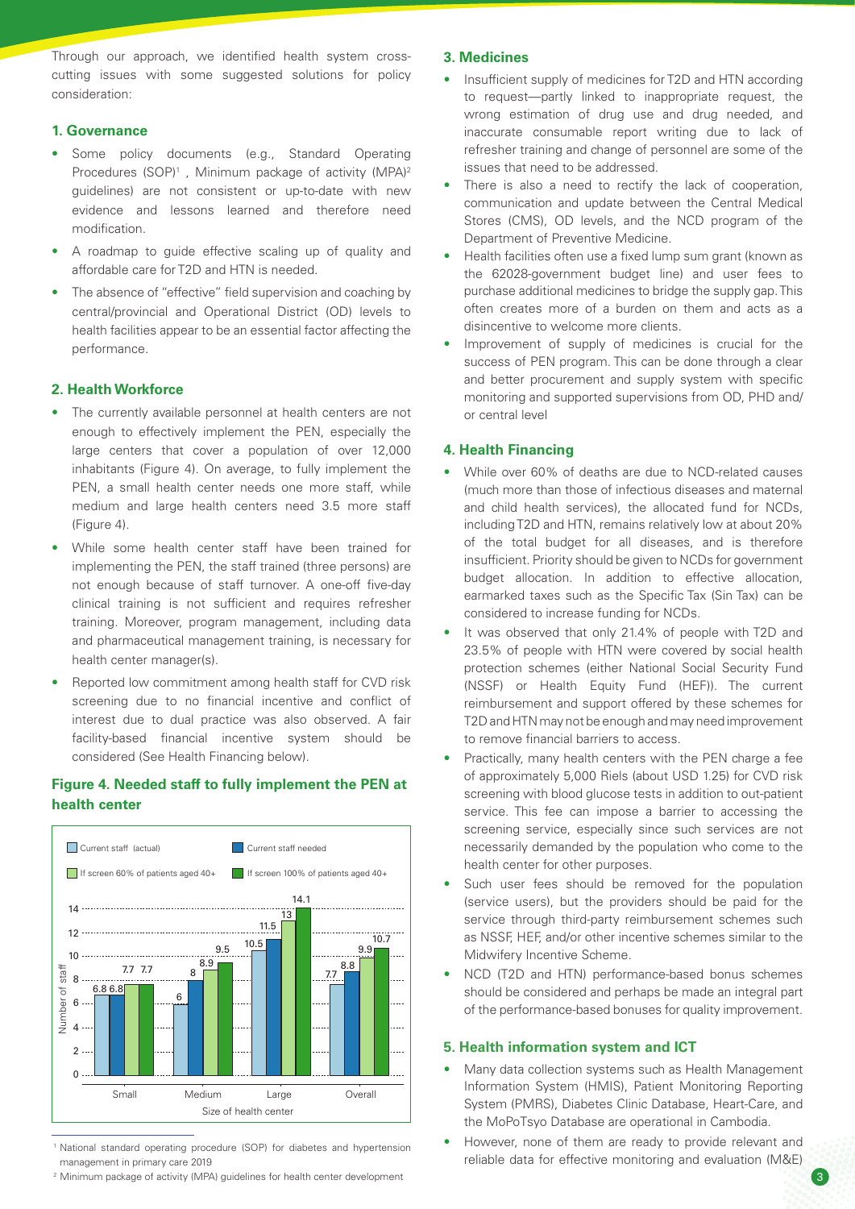Through our approach, we identified health system crosscutting issues with some suggested solutions for policy consideration:

#### **1. Governance**

- Some policy documents (e.g., Standard Operating Procedures (SOP)<sup>1</sup>, Minimum package of activity (MPA)<sup>2</sup> guidelines) are not consistent or up-to-date with new evidence and lessons learned and therefore need modification.
- A roadmap to guide effective scaling up of quality and affordable care for T2D and HTN is needed.
- The absence of "effective" field supervision and coaching by central/provincial and Operational District (OD) levels to health facilities appear to be an essential factor affecting the performance.

#### **2. Health Workforce**

- The currently available personnel at health centers are not enough to effectively implement the PEN, especially the large centers that cover a population of over 12,000 inhabitants (Figure 4). On average, to fully implement the PEN, a small health center needs one more staff, while medium and large health centers need 3.5 more staff (Figure 4).
- While some health center staff have been trained for implementing the PEN, the staff trained (three persons) are not enough because of staff turnover. A one-off five-day clinical training is not sufficient and requires refresher training. Moreover, program management, including data and pharmaceutical management training, is necessary for health center manager(s).
- Reported low commitment among health staff for CVD risk screening due to no financial incentive and conflict of interest due to dual practice was also observed. A fair facility-based financial incentive system should be considered (See Health Financing below).

#### **Figure 4. Needed staff to fully implement the PEN at health center**



<sup>1</sup> National standard operating procedure (SOP) for diabetes and hypertension management in primary care 2019

2 Minimum package of activity (MPA) guidelines for health center development

#### **3. Medicines**

- Insufficient supply of medicines for T2D and HTN according to request—partly linked to inappropriate request, the wrong estimation of drug use and drug needed, and inaccurate consumable report writing due to lack of refresher training and change of personnel are some of the issues that need to be addressed.
- There is also a need to rectify the lack of cooperation. communication and update between the Central Medical Stores (CMS), OD levels, and the NCD program of the Department of Preventive Medicine.
- Health facilities often use a fixed lump sum grant (known as the 62028-government budget line) and user fees to purchase additional medicines to bridge the supply gap. This often creates more of a burden on them and acts as a disincentive to welcome more clients.
- Improvement of supply of medicines is crucial for the success of PEN program. This can be done through a clear and better procurement and supply system with specific monitoring and supported supervisions from OD, PHD and/ or central level

#### **4. Health Financing**

- While over 60% of deaths are due to NCD-related causes (much more than those of infectious diseases and maternal and child health services), the allocated fund for NCDs, including T2D and HTN, remains relatively low at about 20% of the total budget for all diseases, and is therefore insufficient. Priority should be given to NCDs for government budget allocation. In addition to effective allocation, earmarked taxes such as the Specific Tax (Sin Tax) can be considered to increase funding for NCDs.
- It was observed that only 21.4% of people with T2D and 23.5% of people with HTN were covered by social health protection schemes (either National Social Security Fund (NSSF) or Health Equity Fund (HEF)). The current reimbursement and support offered by these schemes for T2D and HTN may not be enough and may need improvement to remove financial barriers to access.
- Practically, many health centers with the PEN charge a fee of approximately 5,000 Riels (about USD 1.25) for CVD risk screening with blood glucose tests in addition to out-patient service. This fee can impose a barrier to accessing the screening service, especially since such services are not necessarily demanded by the population who come to the health center for other purposes.
- Such user fees should be removed for the population (service users), but the providers should be paid for the service through third-party reimbursement schemes such as NSSF, HEF, and/or other incentive schemes similar to the Midwifery Incentive Scheme.
- NCD (T2D and HTN) performance-based bonus schemes should be considered and perhaps be made an integral part of the performance-based bonuses for quality improvement.

#### **5. Health information system and ICT**

- Many data collection systems such as Health Management Information System (HMIS), Patient Monitoring Reporting System (PMRS), Diabetes Clinic Database, Heart-Care, and the MoPoTsyo Database are operational in Cambodia.
- However, none of them are ready to provide relevant and reliable data for effective monitoring and evaluation (M&E)

 $\mathcal{A}$